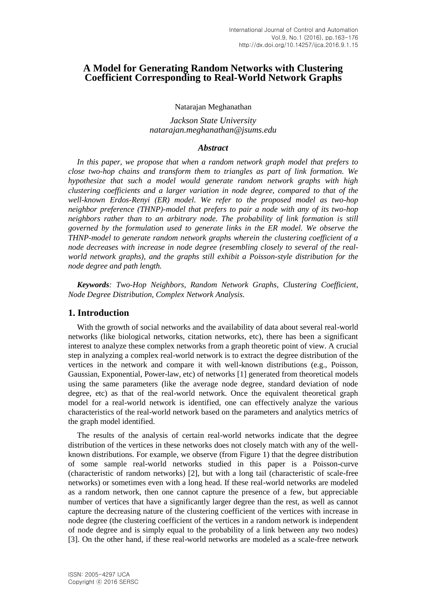# **A Model for Generating Random Networks with Clustering Coefficient Corresponding to Real-World Network Graphs**

Natarajan Meghanathan

*Jackson State University natarajan.meghanathan@jsums.edu*

### *Abstract*

*In this paper, we propose that when a random network graph model that prefers to close two-hop chains and transform them to triangles as part of link formation. We hypothesize that such a model would generate random network graphs with high clustering coefficients and a larger variation in node degree, compared to that of the well-known Erdos-Renyi (ER) model. We refer to the proposed model as two-hop neighbor preference (THNP)-model that prefers to pair a node with any of its two-hop neighbors rather than to an arbitrary node. The probability of link formation is still governed by the formulation used to generate links in the ER model. We observe the THNP-model to generate random network graphs wherein the clustering coefficient of a node decreases with increase in node degree (resembling closely to several of the realworld network graphs), and the graphs still exhibit a Poisson-style distribution for the node degree and path length.* 

*Keywords: Two-Hop Neighbors, Random Network Graphs, Clustering Coefficient, Node Degree Distribution, Complex Network Analysis.*

### **1. Introduction**

With the growth of social networks and the availability of data about several real-world networks (like biological networks, citation networks, etc), there has been a significant interest to analyze these complex networks from a graph theoretic point of view. A crucial step in analyzing a complex real-world network is to extract the degree distribution of the vertices in the network and compare it with well-known distributions (e.g., Poisson, Gaussian, Exponential, Power-law, etc) of networks [1] generated from theoretical models using the same parameters (like the average node degree, standard deviation of node degree, etc) as that of the real-world network. Once the equivalent theoretical graph model for a real-world network is identified, one can effectively analyze the various characteristics of the real-world network based on the parameters and analytics metrics of the graph model identified.

The results of the analysis of certain real-world networks indicate that the degree distribution of the vertices in these networks does not closely match with any of the wellknown distributions. For example, we observe (from Figure 1) that the degree distribution of some sample real-world networks studied in this paper is a Poisson-curve (characteristic of random networks) [2], but with a long tail (characteristic of scale-free networks) or sometimes even with a long head. If these real-world networks are modeled as a random network, then one cannot capture the presence of a few, but appreciable number of vertices that have a significantly larger degree than the rest, as well as cannot capture the decreasing nature of the clustering coefficient of the vertices with increase in node degree (the clustering coefficient of the vertices in a random network is independent of node degree and is simply equal to the probability of a link between any two nodes) [3]. On the other hand, if these real-world networks are modeled as a scale-free network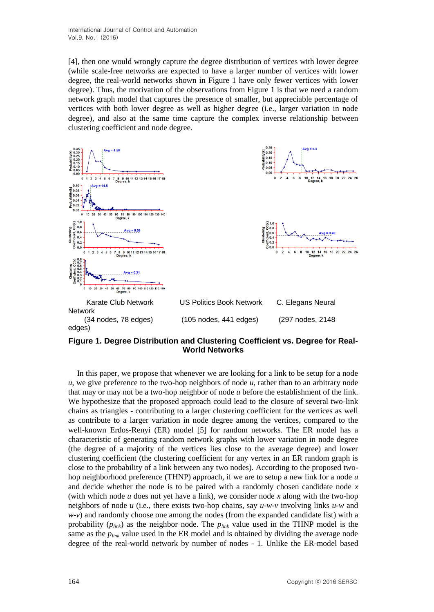[4], then one would wrongly capture the degree distribution of vertices with lower degree (while scale-free networks are expected to have a larger number of vertices with lower degree, the real-world networks shown in Figure 1 have only fewer vertices with lower degree). Thus, the motivation of the observations from Figure 1 is that we need a random network graph model that captures the presence of smaller, but appreciable percentage of vertices with both lower degree as well as higher degree (i.e., larger variation in node degree), and also at the same time capture the complex inverse relationship between clustering coefficient and node degree.



### **Figure 1. Degree Distribution and Clustering Coefficient vs. Degree for Real-World Networks**

In this paper, we propose that whenever we are looking for a link to be setup for a node *u*, we give preference to the two-hop neighbors of node *u*, rather than to an arbitrary node that may or may not be a two-hop neighbor of node *u* before the establishment of the link. We hypothesize that the proposed approach could lead to the closure of several two-link chains as triangles - contributing to a larger clustering coefficient for the vertices as well as contribute to a larger variation in node degree among the vertices, compared to the well-known Erdos-Renyi (ER) model [5] for random networks. The ER model has a characteristic of generating random network graphs with lower variation in node degree (the degree of a majority of the vertices lies close to the average degree) and lower clustering coefficient (the clustering coefficient for any vertex in an ER random graph is close to the probability of a link between any two nodes). According to the proposed twohop neighborhood preference (THNP) approach, if we are to setup a new link for a node *u* and decide whether the node is to be paired with a randomly chosen candidate node *x* (with which node *u* does not yet have a link), we consider node *x* along with the two-hop neighbors of node *u* (i.e., there exists two-hop chains, say *u*-*w*-*v* involving links *u*-*w* and *w*-*v*) and randomly choose one among the nodes (from the expanded candidate list) with a probability (*plink*) as the neighbor node. The *plink* value used in the THNP model is the same as the *plink* value used in the ER model and is obtained by dividing the average node degree of the real-world network by number of nodes - 1. Unlike the ER-model based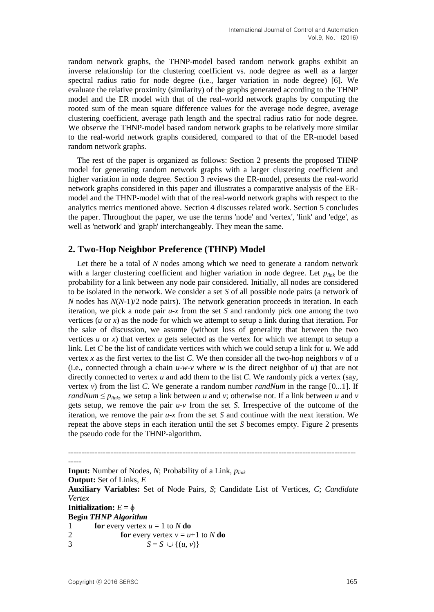random network graphs, the THNP-model based random network graphs exhibit an inverse relationship for the clustering coefficient vs. node degree as well as a larger spectral radius ratio for node degree (i.e., larger variation in node degree) [6]. We evaluate the relative proximity (similarity) of the graphs generated according to the THNP model and the ER model with that of the real-world network graphs by computing the rooted sum of the mean square difference values for the average node degree, average clustering coefficient, average path length and the spectral radius ratio for node degree. We observe the THNP-model based random network graphs to be relatively more similar to the real-world network graphs considered, compared to that of the ER-model based random network graphs.

The rest of the paper is organized as follows: Section 2 presents the proposed THNP model for generating random network graphs with a larger clustering coefficient and higher variation in node degree. Section 3 reviews the ER-model, presents the real-world network graphs considered in this paper and illustrates a comparative analysis of the ERmodel and the THNP-model with that of the real-world network graphs with respect to the analytics metrics mentioned above. Section 4 discusses related work. Section 5 concludes the paper. Throughout the paper, we use the terms 'node' and 'vertex', 'link' and 'edge', as well as 'network' and 'graph' interchangeably. They mean the same.

# **2. Two-Hop Neighbor Preference (THNP) Model**

Let there be a total of *N* nodes among which we need to generate a random network with a larger clustering coefficient and higher variation in node degree. Let *plink* be the probability for a link between any node pair considered. Initially, all nodes are considered to be isolated in the network. We consider a set *S* of all possible node pairs (a network of *N* nodes has *N*(*N*-1)/2 node pairs). The network generation proceeds in iteration. In each iteration, we pick a node pair *u*-*x* from the set *S* and randomly pick one among the two vertices ( $u$  or  $x$ ) as the node for which we attempt to setup a link during that iteration. For the sake of discussion, we assume (without loss of generality that between the two vertices  $u$  or  $x$ ) that vertex  $u$  gets selected as the vertex for which we attempt to setup a link. Let *C* be the list of candidate vertices with which we could setup a link for *u*. We add vertex  $x$  as the first vertex to the list  $C$ . We then consider all the two-hop neighbors  $v$  of  $u$ (i.e., connected through a chain  $u-w-v$  where *w* is the direct neighbor of *u*) that are not directly connected to vertex *u* and add them to the list *C*. We randomly pick a vertex (say, vertex *v*) from the list *C*. We generate a random number *randNum* in the range [0...1]. If *randNum*  $\leq p_{link}$ , we setup a link between *u* and *v*; otherwise not. If a link between *u* and *v* gets setup, we remove the pair *u*-*v* from the set *S*. Irrespective of the outcome of the iteration, we remove the pair  $u-x$  from the set *S* and continue with the next iteration. We repeat the above steps in each iteration until the set *S* becomes empty. Figure 2 presents the pseudo code for the THNP-algorithm.

----- **Input:** Number of Nodes, *N*; Probability of a Link, *plink* **Output:** Set of Links, *E* **Auxiliary Variables:** Set of Node Pairs, *S*; Candidate List of Vertices, *C*; *Candidate Vertex* **Initialization:**  $E = \phi$ **Begin** *THNP Algorithm* 1 **for** every vertex  $u = 1$  to  $N$  **do** 2 **for** every vertex  $v = u+1$  to *N* **do** 3  $S = S \cup \{(u, v)\}\$ 

------------------------------------------------------------------------------------------------------------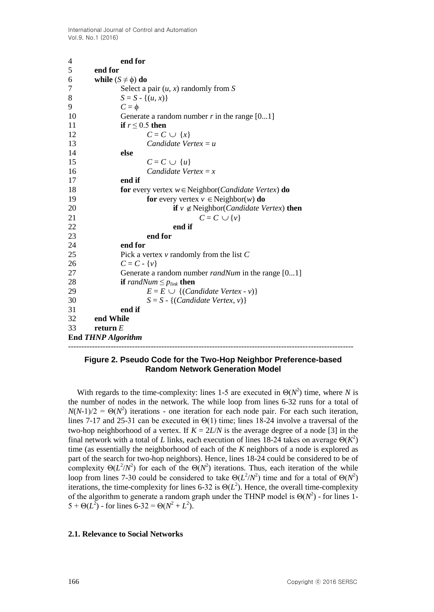| 4                         | end for                                                                |
|---------------------------|------------------------------------------------------------------------|
| 5                         | end for                                                                |
| 6                         | while $(S \neq \phi)$ do                                               |
| 7                         | Select a pair $(u, x)$ randomly from S                                 |
| 8                         | $S = S - \{(u, x)\}\$                                                  |
| 9                         | $C = \phi$                                                             |
| 10                        | Generate a random number $r$ in the range [01]                         |
| 11                        | if $r \leq 0.5$ then                                                   |
| 12                        | $C = C \cup \{x\}$                                                     |
| 13                        | Candidate Vertex = $u$                                                 |
| 14                        | else                                                                   |
| 15                        | $C = C \cup \{u\}$                                                     |
| 16                        | Candidate Vertex = $x$                                                 |
| 17                        | end if                                                                 |
| 18                        | for every vertex $w \in \text{Neighbour}(Candidate \text{ Vertex})$ do |
| 19                        | <b>for</b> every vertex $v \in \text{Neighbour}(w)$ <b>do</b>          |
| 20                        | if $v \notin \text{Neighbour}(Candidate \text{ Vertex})$ then          |
| 21                        | $C = C \cup \{v\}$                                                     |
| 22                        | end if                                                                 |
| 23                        | end for                                                                |
| 24                        | end for                                                                |
| 25                        | Pick a vertex $v$ randomly from the list $C$                           |
| 26                        | $C = C - \{v\}$                                                        |
| 27                        | Generate a random number <i>randNum</i> in the range [01]              |
| 28                        | <b>if</b> randNum $\leq p_{link}$ then                                 |
| 29                        | $E = E \cup \{(Candidate Vertex - v)\}\$                               |
| 30                        | $S = S - \{(Candidate Vertex, v)\}\$                                   |
| 31                        | end if                                                                 |
| 32                        | end While                                                              |
| 33                        | return $E$                                                             |
| <b>End THNP Algorithm</b> |                                                                        |
|                           |                                                                        |

### **Figure 2. Pseudo Code for the Two-Hop Neighbor Preference-based Random Network Generation Model**

With regards to the time-complexity: lines 1-5 are executed in  $\Theta(N^2)$  time, where *N* is the number of nodes in the network. The while loop from lines 6-32 runs for a total of  $N(N-1)/2 = \Theta(N^2)$  iterations - one iteration for each node pair. For each such iteration, lines 7-17 and 25-31 can be executed in Θ(1) time; lines 18-24 involve a traversal of the two-hop neighborhood of a vertex. If  $K = 2L/N$  is the average degree of a node [3] in the final network with a total of *L* links, each execution of lines 18-24 takes on average  $\Theta(K^2)$ time (as essentially the neighborhood of each of the *K* neighbors of a node is explored as part of the search for two-hop neighbors). Hence, lines 18-24 could be considered to be of complexity  $\Theta(L^2/N^2)$  for each of the  $\Theta(N^2)$  iterations. Thus, each iteration of the while loop from lines 7-30 could be considered to take  $\Theta(L^2/N^2)$  time and for a total of  $\Theta(N^2)$ iterations, the time-complexity for lines 6-32 is  $\Theta(L^2)$ . Hence, the overall time-complexity of the algorithm to generate a random graph under the THNP model is  $\Theta(N^2)$  - for lines 1- $5 + \Theta(L^2)$  - for lines 6-32 =  $\Theta(N^2 + L^2)$ .

### **2.1. Relevance to Social Networks**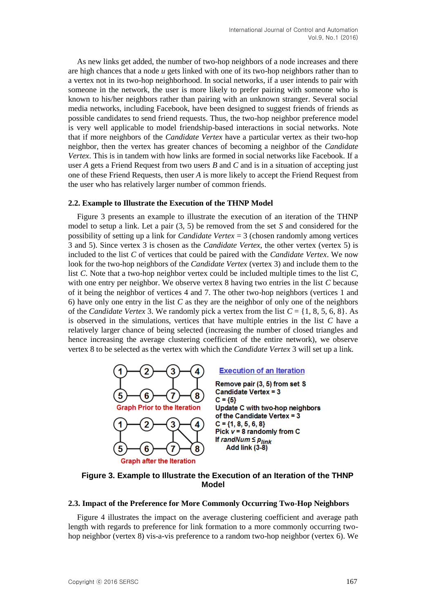As new links get added, the number of two-hop neighbors of a node increases and there are high chances that a node *u* gets linked with one of its two-hop neighbors rather than to a vertex not in its two-hop neighborhood. In social networks, if a user intends to pair with someone in the network, the user is more likely to prefer pairing with someone who is known to his/her neighbors rather than pairing with an unknown stranger. Several social media networks, including Facebook, have been designed to suggest friends of friends as possible candidates to send friend requests. Thus, the two-hop neighbor preference model is very well applicable to model friendship-based interactions in social networks. Note that if more neighbors of the *Candidate Vertex* have a particular vertex as their two-hop neighbor, then the vertex has greater chances of becoming a neighbor of the *Candidate Vertex*. This is in tandem with how links are formed in social networks like Facebook. If a user *A* gets a Friend Request from two users *B* and *C* and is in a situation of accepting just one of these Friend Requests, then user *A* is more likely to accept the Friend Request from the user who has relatively larger number of common friends.

#### **2.2. Example to Illustrate the Execution of the THNP Model**

Figure 3 presents an example to illustrate the execution of an iteration of the THNP model to setup a link. Let a pair (3, 5) be removed from the set *S* and considered for the possibility of setting up a link for *Candidate Vertex* = 3 (chosen randomly among vertices 3 and 5). Since vertex 3 is chosen as the *Candidate Vertex*, the other vertex (vertex 5) is included to the list *C* of vertices that could be paired with the *Candidate Vertex*. We now look for the two-hop neighbors of the *Candidate Vertex* (vertex 3) and include them to the list *C*. Note that a two-hop neighbor vertex could be included multiple times to the list *C*, with one entry per neighbor. We observe vertex 8 having two entries in the list *C* because of it being the neighbor of vertices 4 and 7. The other two-hop neighbors (vertices 1 and 6) have only one entry in the list *C* as they are the neighbor of only one of the neighbors of the *Candidate Vertex* 3. We randomly pick a vertex from the list  $C = \{1, 8, 5, 6, 8\}$ . As is observed in the simulations, vertices that have multiple entries in the list *C* have a relatively larger chance of being selected (increasing the number of closed triangles and hence increasing the average clustering coefficient of the entire network), we observe vertex 8 to be selected as the vertex with which the *Candidate Vertex* 3 will set up a link.



### **Figure 3. Example to Illustrate the Execution of an Iteration of the THNP Model**

#### **2.3. Impact of the Preference for More Commonly Occurring Two-Hop Neighbors**

Figure 4 illustrates the impact on the average clustering coefficient and average path length with regards to preference for link formation to a more commonly occurring twohop neighbor (vertex 8) vis-a-vis preference to a random two-hop neighbor (vertex 6). We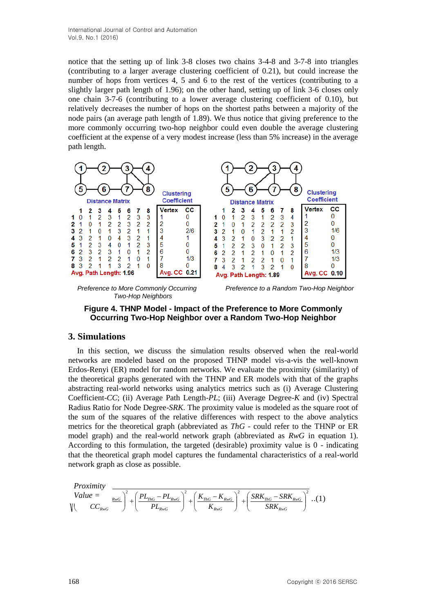notice that the setting up of link 3-8 closes two chains 3-4-8 and 3-7-8 into triangles (contributing to a larger average clustering coefficient of 0.21), but could increase the number of hops from vertices 4, 5 and 6 to the rest of the vertices (contributing to a slightly larger path length of 1.96); on the other hand, setting up of link 3-6 closes only one chain 3-7-6 (contributing to a lower average clustering coefficient of 0.10), but relatively decreases the number of hops on the shortest paths between a majority of the node pairs (an average path length of 1.89). We thus notice that giving preference to the more commonly occurring two-hop neighbor could even double the average clustering coefficient at the expense of a very modest increase (less than 5% increase) in the average path length.



 *Two-Hop Neighbors*

 *Preference to More Commonly Occurring Preference to a Random Two-Hop Neighbor*



### **3. Simulations**

In this section, we discuss the simulation results observed when the real-world networks are modeled based on the proposed THNP model vis-a-vis the well-known Erdos-Renyi (ER) model for random networks. We evaluate the proximity (similarity) of the theoretical graphs generated with the THNP and ER models with that of the graphs abstracting real-world networks using analytics metrics such as (i) Average Clustering Coefficient-*CC*; (ii) Average Path Length-*PL*; (iii) Average Degree-*K* and (iv) Spectral Radius Ratio for Node Degree-*SRK*. The proximity value is modeled as the square root of the sum of the squares of the relative differences with respect to the above analytics metrics for the theoretical graph (abbreviated as *ThG* - could refer to the THNP or ER model graph) and the real-world network graph (abbreviated as *RwG* in equation 1). According to this formulation, the targeted (desirable) proximity value is 0 - indicating that the theoretical graph model captures the fundamental characteristics of a real-world network graph as close as possible.

$$
\begin{array}{c}\n\text{Proximity} \\
\text{Value} = \sqrt{\left(\frac{PL_{ThG} - PL_{RwG}}{PL_{RwG}}\right)^2 + \left(\frac{KL_{ThG} - KL_{RwG}}{PL_{RwG}}\right)^2 + \left(\frac{K_{ThG} - K_{RwG}}{K_{RwG}}\right)^2 + \left(\frac{SRK_{ThG} - SRK_{RwG}}{SRK_{RwG}}\right)^2} \dots (1)\n\end{array}
$$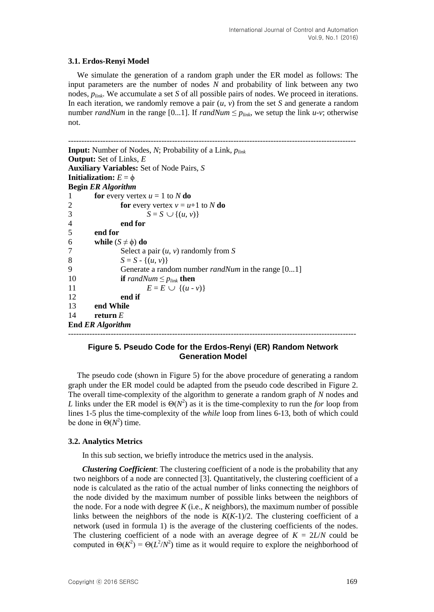## **3.1. Erdos-Renyi Model**

We simulate the generation of a random graph under the ER model as follows: The input parameters are the number of nodes *N* and probability of link between any two nodes, *plink*. We accumulate a set *S* of all possible pairs of nodes. We proceed in iterations. In each iteration, we randomly remove a pair  $(u, v)$  from the set *S* and generate a random number *randNum* in the range [0...1]. If *randNum*  $\leq p_{link}$ , we setup the link *u*-*v*; otherwise not.

```
------------------------------------------------------------------------------------------------------------
Input: Number of Nodes, N; Probability of a Link, plink
Output: Set of Links, E
Auxiliary Variables: Set of Node Pairs, S
Initialization: E = \phiBegin ER Algorithm
1 for every vertex u = 1 to N do
2 for every vertex v = u+1 to N do
3 S = S \cup \{(u, v)\}\4 end for
5 end for
6 while (S \neq \phi) do
7 Select a pair (u, v) randomly from S
8 S = S - \{(u, v)\}\9 Generate a random number randNum in the range [0...1]
10 if randNum \leq p_{link} then
11 E = E \cup \{(u - v)\}\12 end if
13 end While
14 return E
End ER Algorithm
------------------------------------------------------------------------------------------------------------
```
# **Figure 5. Pseudo Code for the Erdos-Renyi (ER) Random Network Generation Model**

The pseudo code (shown in Figure 5) for the above procedure of generating a random graph under the ER model could be adapted from the pseudo code described in Figure 2. The overall time-complexity of the algorithm to generate a random graph of *N* nodes and *L* links under the ER model is  $\Theta(N^2)$  as it is the time-complexity to run the *for* loop from lines 1-5 plus the time-complexity of the *while* loop from lines 6-13, both of which could be done in  $\Theta(N^2)$  time.

# **3.2. Analytics Metrics**

In this sub section, we briefly introduce the metrics used in the analysis.

*Clustering Coefficient*: The clustering coefficient of a node is the probability that any two neighbors of a node are connected [3]. Quantitatively, the clustering coefficient of a node is calculated as the ratio of the actual number of links connecting the neighbors of the node divided by the maximum number of possible links between the neighbors of the node. For a node with degree *K* (i.e., *K* neighbors), the maximum number of possible links between the neighbors of the node is  $K(K-1)/2$ . The clustering coefficient of a network (used in formula 1) is the average of the clustering coefficients of the nodes. The clustering coefficient of a node with an average degree of  $K = 2L/N$  could be computed in  $\Theta(K^2) = \Theta(L^2/N^2)$  time as it would require to explore the neighborhood of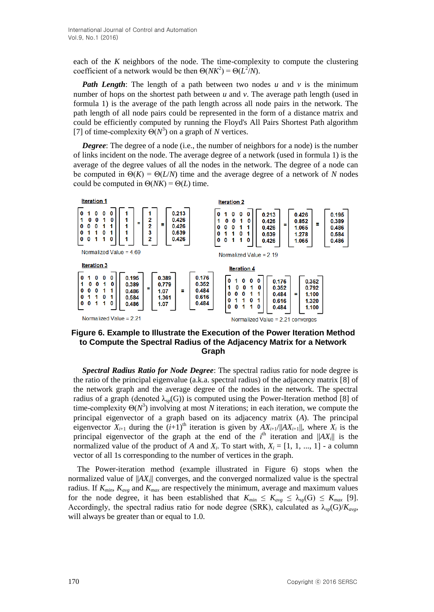each of the *K* neighbors of the node. The time-complexity to compute the clustering coefficient of a network would be then  $\Theta(NK^2) = \Theta(L^2/N)$ .

*Path Length*: The length of a path between two nodes *u* and *v* is the minimum number of hops on the shortest path between *u* and *v*. The average path length (used in formula 1) is the average of the path length across all node pairs in the network. The path length of all node pairs could be represented in the form of a distance matrix and could be efficiently computed by running the Floyd's All Pairs Shortest Path algorithm [7] of time-complexity  $\Theta(N^3)$  on a graph of *N* vertices.

*Degree*: The degree of a node (i.e., the number of neighbors for a node) is the number of links incident on the node. The average degree of a network (used in formula 1) is the average of the degree values of all the nodes in the network. The degree of a node can be computed in  $\Theta(K) = \Theta(L/N)$  time and the average degree of a network of *N* nodes could be computed in  $\Theta(NK) = \Theta(L)$  time.



### **Figure 6. Example to Illustrate the Execution of the Power Iteration Method to Compute the Spectral Radius of the Adjacency Matrix for a Network Graph**

*Spectral Radius Ratio for Node Degree*: The spectral radius ratio for node degree is the ratio of the principal eigenvalue (a.k.a. spectral radius) of the adjacency matrix [8] of the network graph and the average degree of the nodes in the network. The spectral radius of a graph (denoted  $\lambda_{sp}(G)$ ) is computed using the Power-Iteration method [8] of time-complexity  $\Theta(N^3)$  involving at most *N* iterations; in each iteration, we compute the principal eigenvector of a graph based on its adjacency matrix (*A*). The principal eigenvector  $X_{i+1}$  during the  $(i+1)$ <sup>th</sup> iteration is given by  $AX_{i+1}/||AX_{i+1}||$ , where  $X_i$  is the principal eigenvector of the graph at the end of the  $i<sup>th</sup>$  iteration and  $||AX_i||$  is the normalized value of the product of *A* and  $X_i$ . To start with,  $X_i = [1, 1, ..., 1]$  - a column vector of all 1s corresponding to the number of vertices in the graph.

The Power-iteration method (example illustrated in Figure 6) stops when the normalized value of  $||AX_i||$  converges, and the converged normalized value is the spectral radius. If  $K_{min}$ ,  $K_{avg}$  and  $K_{max}$  are respectively the minimum, average and maximum values for the node degree, it has been established that  $K_{min} \leq K_{avg} \leq \lambda_{sp}(G) \leq K_{max}$  [9]. Accordingly, the spectral radius ratio for node degree (SRK), calculated as  $\lambda_{sp}(G)/K_{avg}$ , will always be greater than or equal to 1.0.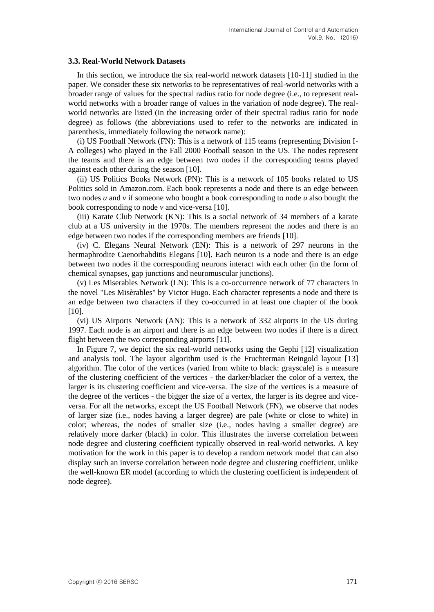### **3.3. Real-World Network Datasets**

In this section, we introduce the six real-world network datasets [10-11] studied in the paper. We consider these six networks to be representatives of real-world networks with a broader range of values for the spectral radius ratio for node degree (i.e., to represent realworld networks with a broader range of values in the variation of node degree). The realworld networks are listed (in the increasing order of their spectral radius ratio for node degree) as follows (the abbreviations used to refer to the networks are indicated in parenthesis, immediately following the network name):

(i) US Football Network (FN): This is a network of 115 teams (representing Division I-A colleges) who played in the Fall 2000 Football season in the US. The nodes represent the teams and there is an edge between two nodes if the corresponding teams played against each other during the season [10].

(ii) US Politics Books Network (PN): This is a network of 105 books related to US Politics sold in Amazon.com. Each book represents a node and there is an edge between two nodes *u* and *v* if someone who bought a book corresponding to node *u* also bought the book corresponding to node *v* and vice-versa [10].

(iii) Karate Club Network (KN): This is a social network of 34 members of a karate club at a US university in the 1970s. The members represent the nodes and there is an edge between two nodes if the corresponding members are friends [10].

(iv) C. Elegans Neural Network (EN): This is a network of 297 neurons in the hermaphrodite Caenorhabditis Elegans [10]. Each neuron is a node and there is an edge between two nodes if the corresponding neurons interact with each other (in the form of chemical synapses, gap junctions and neuromuscular junctions).

(v) Les Miserables Network (LN): This is a co-occurrence network of 77 characters in the novel "Les Misèrables" by Victor Hugo. Each character represents a node and there is an edge between two characters if they co-occurred in at least one chapter of the book  $[10]$ .

(vi) US Airports Network (AN): This is a network of 332 airports in the US during 1997. Each node is an airport and there is an edge between two nodes if there is a direct flight between the two corresponding airports [11].

In Figure 7, we depict the six real-world networks using the Gephi [12] visualization and analysis tool. The layout algorithm used is the Fruchterman Reingold layout [13] algorithm. The color of the vertices (varied from white to black: grayscale) is a measure of the clustering coefficient of the vertices - the darker/blacker the color of a vertex, the larger is its clustering coefficient and vice-versa. The size of the vertices is a measure of the degree of the vertices - the bigger the size of a vertex, the larger is its degree and viceversa. For all the networks, except the US Football Network (FN), we observe that nodes of larger size (i.e., nodes having a larger degree) are pale (white or close to white) in color; whereas, the nodes of smaller size (i.e., nodes having a smaller degree) are relatively more darker (black) in color. This illustrates the inverse correlation between node degree and clustering coefficient typically observed in real-world networks. A key motivation for the work in this paper is to develop a random network model that can also display such an inverse correlation between node degree and clustering coefficient, unlike the well-known ER model (according to which the clustering coefficient is independent of node degree).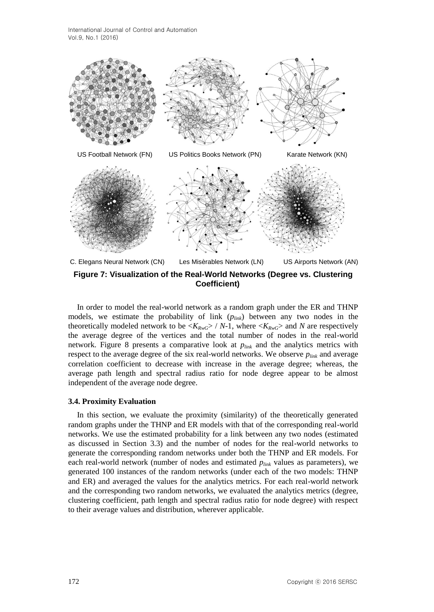International Journal of Control and Automation Vol.9, No.1 (2016)



In order to model the real-world network as a random graph under the ER and THNP models, we estimate the probability of link (*plink*) between any two nodes in the theoretically modeled network to be  $\langle K_{RwG} \rangle / N-1$ , where  $\langle K_{RwG} \rangle$  and N are respectively the average degree of the vertices and the total number of nodes in the real-world network. Figure 8 presents a comparative look at *plink* and the analytics metrics with respect to the average degree of the six real-world networks. We observe *plink* and average correlation coefficient to decrease with increase in the average degree; whereas, the average path length and spectral radius ratio for node degree appear to be almost independent of the average node degree.

#### **3.4. Proximity Evaluation**

In this section, we evaluate the proximity (similarity) of the theoretically generated random graphs under the THNP and ER models with that of the corresponding real-world networks. We use the estimated probability for a link between any two nodes (estimated as discussed in Section 3.3) and the number of nodes for the real-world networks to generate the corresponding random networks under both the THNP and ER models. For each real-world network (number of nodes and estimated *plink* values as parameters), we generated 100 instances of the random networks (under each of the two models: THNP and ER) and averaged the values for the analytics metrics. For each real-world network and the corresponding two random networks, we evaluated the analytics metrics (degree, clustering coefficient, path length and spectral radius ratio for node degree) with respect to their average values and distribution, wherever applicable.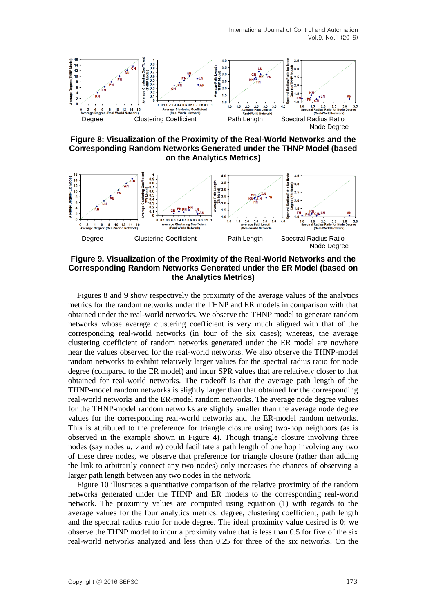

**Figure 8: Visualization of the Proximity of the Real-World Networks and the Corresponding Random Networks Generated under the THNP Model (based on the Analytics Metrics)**



**Figure 9. Visualization of the Proximity of the Real-World Networks and the Corresponding Random Networks Generated under the ER Model (based on the Analytics Metrics)**

Figures 8 and 9 show respectively the proximity of the average values of the analytics metrics for the random networks under the THNP and ER models in comparison with that obtained under the real-world networks. We observe the THNP model to generate random networks whose average clustering coefficient is very much aligned with that of the corresponding real-world networks (in four of the six cases); whereas, the average clustering coefficient of random networks generated under the ER model are nowhere near the values observed for the real-world networks. We also observe the THNP-model random networks to exhibit relatively larger values for the spectral radius ratio for node degree (compared to the ER model) and incur SPR values that are relatively closer to that obtained for real-world networks. The tradeoff is that the average path length of the THNP-model random networks is slightly larger than that obtained for the corresponding real-world networks and the ER-model random networks. The average node degree values for the THNP-model random networks are slightly smaller than the average node degree values for the corresponding real-world networks and the ER-model random networks. This is attributed to the preference for triangle closure using two-hop neighbors (as is observed in the example shown in Figure 4). Though triangle closure involving three nodes (say nodes *u*, *v* and *w*) could facilitate a path length of one hop involving any two of these three nodes, we observe that preference for triangle closure (rather than adding the link to arbitrarily connect any two nodes) only increases the chances of observing a larger path length between any two nodes in the network.

Figure 10 illustrates a quantitative comparison of the relative proximity of the random networks generated under the THNP and ER models to the corresponding real-world network. The proximity values are computed using equation (1) with regards to the average values for the four analytics metrics: degree, clustering coefficient, path length and the spectral radius ratio for node degree. The ideal proximity value desired is 0; we observe the THNP model to incur a proximity value that is less than 0.5 for five of the six real-world networks analyzed and less than 0.25 for three of the six networks. On the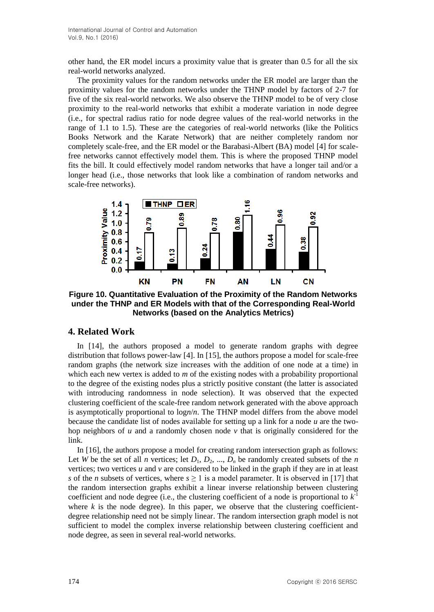other hand, the ER model incurs a proximity value that is greater than 0.5 for all the six real-world networks analyzed.

The proximity values for the random networks under the ER model are larger than the proximity values for the random networks under the THNP model by factors of 2-7 for five of the six real-world networks. We also observe the THNP model to be of very close proximity to the real-world networks that exhibit a moderate variation in node degree (i.e., for spectral radius ratio for node degree values of the real-world networks in the range of 1.1 to 1.5). These are the categories of real-world networks (like the Politics Books Network and the Karate Network) that are neither completely random nor completely scale-free, and the ER model or the Barabasi-Albert (BA) model [4] for scalefree networks cannot effectively model them. This is where the proposed THNP model fits the bill. It could effectively model random networks that have a longer tail and/or a longer head (i.e., those networks that look like a combination of random networks and scale-free networks).



**Figure 10. Quantitative Evaluation of the Proximity of the Random Networks under the THNP and ER Models with that of the Corresponding Real-World Networks (based on the Analytics Metrics)**

# **4. Related Work**

In [14], the authors proposed a model to generate random graphs with degree distribution that follows power-law [4]. In [15], the authors propose a model for scale-free random graphs (the network size increases with the addition of one node at a time) in which each new vertex is added to *m* of the existing nodes with a probability proportional to the degree of the existing nodes plus a strictly positive constant (the latter is associated with introducing randomness in node selection). It was observed that the expected clustering coefficient of the scale-free random network generated with the above approach is asymptotically proportional to log*n*/*n*. The THNP model differs from the above model because the candidate list of nodes available for setting up a link for a node *u* are the twohop neighbors of  $u$  and a randomly chosen node  $v$  that is originally considered for the link.

In [16], the authors propose a model for creating random intersection graph as follows: Let *W* be the set of all *n* vertices; let  $D_1, D_2, ..., D_n$  be randomly created subsets of the *n* vertices; two vertices  $u$  and  $v$  are considered to be linked in the graph if they are in at least *s* of the *n* subsets of vertices, where  $s \ge 1$  is a model parameter. It is observed in [17] that the random intersection graphs exhibit a linear inverse relationship between clustering coefficient and node degree (i.e., the clustering coefficient of a node is proportional to  $k<sup>-1</sup>$ where  $k$  is the node degree). In this paper, we observe that the clustering coefficientdegree relationship need not be simply linear. The random intersection graph model is not sufficient to model the complex inverse relationship between clustering coefficient and node degree, as seen in several real-world networks.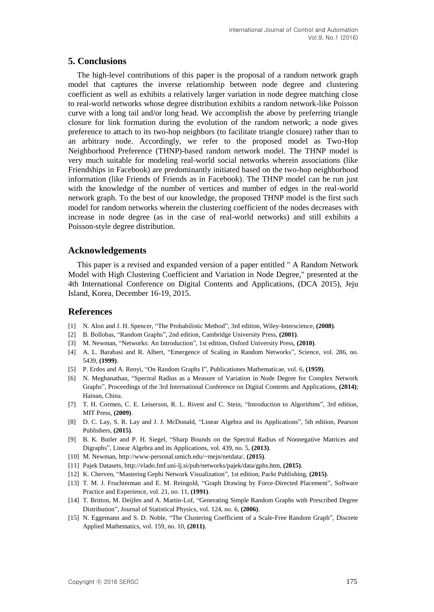# **5. Conclusions**

The high-level contributions of this paper is the proposal of a random network graph model that captures the inverse relationship between node degree and clustering coefficient as well as exhibits a relatively larger variation in node degree matching close to real-world networks whose degree distribution exhibits a random network-like Poisson curve with a long tail and/or long head. We accomplish the above by preferring triangle closure for link formation during the evolution of the random network; a node gives preference to attach to its two-hop neighbors (to facilitate triangle closure) rather than to an arbitrary node. Accordingly, we refer to the proposed model as Two-Hop Neighborhood Preference (THNP)-based random network model. The THNP model is very much suitable for modeling real-world social networks wherein associations (like Friendships in Facebook) are predominantly initiated based on the two-hop neighborhood information (like Friends of Friends as in Facebook). The THNP model can be run just with the knowledge of the number of vertices and number of edges in the real-world network graph. To the best of our knowledge, the proposed THNP model is the first such model for random networks wherein the clustering coefficient of the nodes decreases with increase in node degree (as in the case of real-world networks) and still exhibits a Poisson-style degree distribution.

# **Acknowledgements**

This paper is a revised and expanded version of a paper entitled " A Random Network Model with High Clustering Coefficient and Variation in Node Degree," presented at the 4th International Conference on Digital Contents and Applications, (DCA 2015), Jeju Island, Korea, December 16-19, 2015.

# **References**

- [1] N. Alon and J. H. Spencer, "The Probabilistic Method", 3rd edition, Wiley-Interscience, **(2008)**.
- [2] B. Bollobas, "Random Graphs", 2nd edition, Cambridge University Press, **(2001)**.
- [3] M. Newman, "Networks: An Introduction", 1st edition, Oxford University Press, **(2010)**.
- [4] A. L. Barabasi and R. Albert, "Emergence of Scaling in Random Networks", Science, vol. 286, no. 5439, **(1999)**.
- [5] P. Erdos and A. Renyi, "On Random Graphs I", Publicationes Mathematicae, vol. 6, **(1959)**.
- [6] N. Meghanathan, "Spectral Radius as a Measure of Variation in Node Degree for Complex Network Graphs", Proceedings of the 3rd International Conference on Digital Contents and Applications, **(2014)**; Hainan, China.
- [7] T. H. Cormen, C. E. Leiserson, R. L. Rivest and C. Stein, "Introduction to Algorithms", 3rd edition, MIT Press, **(2009)**.
- [8] D. C. Lay, S. R. Lay and J. J. McDonald, "Linear Algebra and its Applications", 5th edition, Pearson Publishers, **(2015)**.
- [9] B. K. Butler and P. H. Siegel, "Sharp Bounds on the Spectral Radius of Nonnegative Matrices and Digraphs", Linear Algebra and its Applications, vol. 439, no. 5, **(2013)**.
- [10] M. Newman, http://www-personal.umich.edu/~mejn/netdata/, **(2015)**.
- [11] Pajek Datasets, http://vlado.fmf.uni-lj.si/pub/networks/pajek/data/gphs.htm, **(2015)**.
- [12] K. Cherven, "Mastering Gephi Network Visualization", 1st edition, Packt Publishing, **(2015)**.
- [13] T. M. J. Fruchterman and E. M. Reingold, "Graph Drawing by Force-Directed Placement", Software Practice and Experience, vol. 21, no. 11, **(1991)**.
- [14] T. Britton, M. Deijfen and A. Martin-Lof, "Generating Simple Random Graphs with Prescribed Degree Distribution", Journal of Statistical Physics, vol. 124, no. 6, **(2006)**.
- [15] N. Eggemann and S. D. Noble, "The Clustering Coefficient of a Scale-Free Random Graph", Discrete Applied Mathematics, vol. 159, no. 10, **(2011)**.